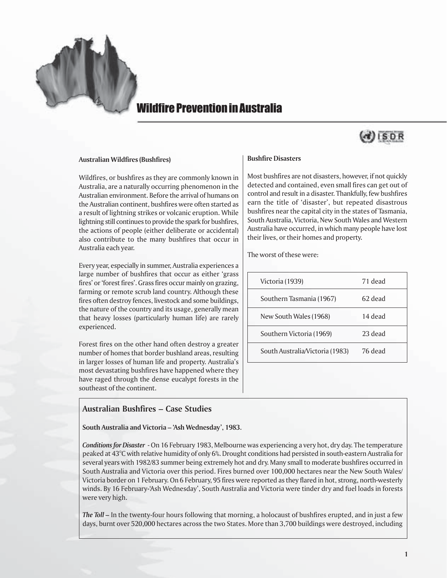

# Wildfire Prevention in Australia

# ISDR

#### **Australian Wildfires (Bushfires)**

Wildfires, or bushfires as they are commonly known in Australia, are a naturally occurring phenomenon in the Australian environment. Before the arrival of humans on the Australian continent, bushfires were often started as a result of lightning strikes or volcanic eruption. While lightning still continues to provide the spark for bushfires, the actions of people (either deliberate or accidental) also contribute to the many bushfires that occur in Australia each year.

Every year, especially in summer, Australia experiences a large number of bushfires that occur as either 'grass fires' or 'forest fires'. Grass fires occur mainly on grazing, farming or remote scrub land country. Although these fires often destroy fences, livestock and some buildings, the nature of the country and its usage, generally mean that heavy losses (particularly human life) are rarely experienced.

Forest fires on the other hand often destroy a greater number of homes that border bushland areas, resulting in larger losses of human life and property. Australia's most devastating bushfires have happened where they have raged through the dense eucalypt forests in the southeast of the continent.

# **Australian Bushfires – Case Studies**

**South Australia and Victoria – 'Ash Wednesday', 1983.**

# *Conditions for Disaster* - On 16 February 1983, Melbourne was experiencing a very hot, dry day. The temperature peaked at 43°C with relative humidity of only 6%. Drought conditions had persisted in south-eastern Australia for several years with 1982/83 summer being extremely hot and dry. Many small to moderate bushfires occurred in South Australia and Victoria over this period. Fires burned over 100,000 hectares near the New South Wales/ Victoria border on 1 February. On 6 February, 95 fires were reported as they flared in hot, strong, north-westerly winds. By 16 February-'Ash Wednesday', South Australia and Victoria were tinder dry and fuel loads in forests were very high.

*The Toll –* In the twenty-four hours following that morning, a holocaust of bushfires erupted, and in just a few days, burnt over 520,000 hectares across the two States. More than 3,700 buildings were destroyed, including

## **Bushfire Disasters**

Most bushfires are not disasters, however, if not quickly detected and contained, even small fires can get out of control and result in a disaster. Thankfully, few bushfires earn the title of 'disaster', but repeated disastrous bushfires near the capital city in the states of Tasmania, South Australia, Victoria, New South Wales and Western Australia have occurred, in which many people have lost their lives, or their homes and property.

The worst of these were:

| Victoria (1939)                 | 71 dead |
|---------------------------------|---------|
| Southern Tasmania (1967)        | 62 dead |
| New South Wales (1968)          | 14 dead |
| Southern Victoria (1969)        | 23 dead |
| South Australia/Victoria (1983) | 76 dead |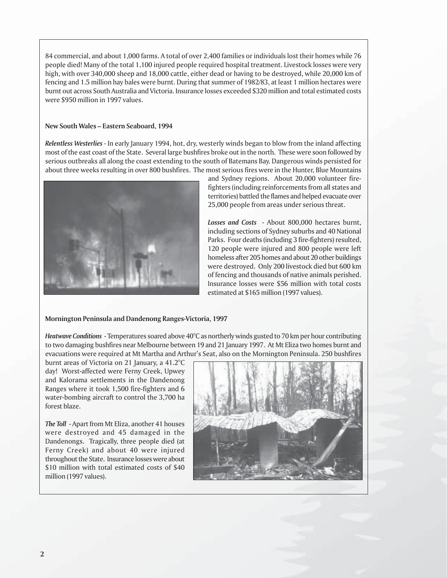84 commercial, and about 1,000 farms. A total of over 2,400 families or individuals lost their homes while 76 people died! Many of the total 1,100 injured people required hospital treatment. Livestock losses were very high, with over 340,000 sheep and 18,000 cattle, either dead or having to be destroyed, while 20,000 km of fencing and 1.5 million hay bales were burnt. During that summer of 1982/83, at least 1 million hectares were burnt out across South Australia and Victoria. Insurance losses exceeded \$320 million and total estimated costs were \$950 million in 1997 values.

# **New South Wales – Eastern Seaboard, 1994**

*Relentless Westerlies* - In early January 1994, hot, dry, westerly winds began to blow from the inland affecting most of the east coast of the State. Several large bushfires broke out in the north. These were soon followed by serious outbreaks all along the coast extending to the south of Batemans Bay. Dangerous winds persisted for about three weeks resulting in over 800 bushfires. The most serious fires were in the Hunter, Blue Mountains



and Sydney regions. About 20,000 volunteer firefighters (including reinforcements from all states and territories) battled the flames and helped evacuate over 25,000 people from areas under serious threat.

*Losses and Costs* - About 800,000 hectares burnt, including sections of Sydney suburbs and 40 National Parks. Four deaths (including 3 fire-fighters) resulted, 120 people were injured and 800 people were left homeless after 205 homes and about 20 other buildings were destroyed. Only 200 livestock died but 600 km of fencing and thousands of native animals perished. Insurance losses were \$56 million with total costs estimated at \$165 million (1997 values).

#### **Mornington Peninsula and Dandenong Ranges-Victoria, 1997**

*Heatwave Conditions* - Temperatures soared above 40°C as northerly winds gusted to 70 km per hour contributing to two damaging bushfires near Melbourne between 19 and 21 January 1997. At Mt Eliza two homes burnt and evacuations were required at Mt Martha and Arthur's Seat, also on the Mornington Peninsula. 250 bushfires

burnt areas of Victoria on 21 January, a 41.2°C day! Worst-affected were Ferny Creek, Upwey and Kalorama settlements in the Dandenong Ranges where it took 1,500 fire-fighters and 6 water-bombing aircraft to control the 3,700 ha forest blaze.

*The Toll* - Apart from Mt Eliza, another 41 houses were destroyed and 45 damaged in the Dandenongs. Tragically, three people died (at Ferny Creek) and about 40 were injured throughout the State. Insurance losses were about \$10 million with total estimated costs of \$40 million (1997 values).

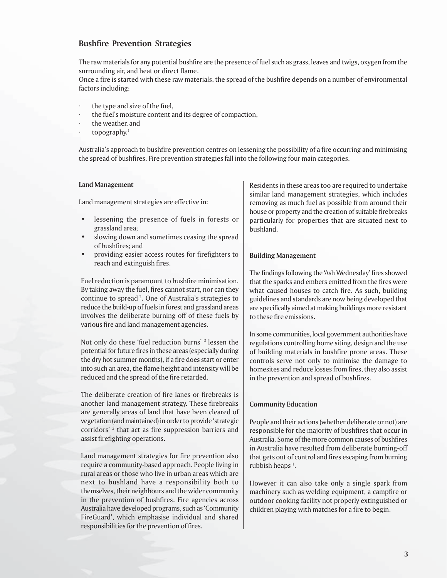# **Bushfire Prevention Strategies**

The raw materials for any potential bushfire are the presence of fuel such as grass, leaves and twigs, oxygen from the surrounding air, and heat or direct flame.

Once a fire is started with these raw materials, the spread of the bushfire depends on a number of environmental factors including:

- the type and size of the fuel,
- the fuel's moisture content and its degree of compaction,
- the weather, and
- topography. $1$

Australia's approach to bushfire prevention centres on lessening the possibility of a fire occurring and minimising the spread of bushfires. Fire prevention strategies fall into the following four main categories.

#### **Land Management**

Land management strategies are effective in:

- lessening the presence of fuels in forests or grassland area;
- slowing down and sometimes ceasing the spread of bushfires; and
- providing easier access routes for firefighters to reach and extinguish fires.

Fuel reduction is paramount to bushfire minimisation. By taking away the fuel, fires cannot start, nor can they continue to spread 2. One of Australia's strategies to reduce the build-up of fuels in forest and grassland areas involves the deliberate burning off of these fuels by various fire and land management agencies.

Not only do these 'fuel reduction burns' <sup>3</sup> lessen the potential for future fires in these areas (especially during the dry hot summer months), if a fire does start or enter into such an area, the flame height and intensity will be reduced and the spread of the fire retarded.

The deliberate creation of fire lanes or firebreaks is another land management strategy. These firebreaks are generally areas of land that have been cleared of vegetation (and maintained) in order to provide 'strategic corridors' 3 that act as fire suppression barriers and assist firefighting operations.

Land management strategies for fire prevention also require a community-based approach. People living in rural areas or those who live in urban areas which are next to bushland have a responsibility both to themselves, their neighbours and the wider community in the prevention of bushfires. Fire agencies across Australia have developed programs, such as 'Community FireGuard', which emphasise individual and shared responsibilities for the prevention of fires.

Residents in these areas too are required to undertake similar land management strategies, which includes removing as much fuel as possible from around their house or property and the creation of suitable firebreaks particularly for properties that are situated next to bushland.

#### **Building Management**

The findings following the 'Ash Wednesday' fires showed that the sparks and embers emitted from the fires were what caused houses to catch fire. As such, building guidelines and standards are now being developed that are specifically aimed at making buildings more resistant to these fire emissions.

In some communities, local government authorities have regulations controlling home siting, design and the use of building materials in bushfire prone areas. These controls serve not only to minimise the damage to homesites and reduce losses from fires, they also assist in the prevention and spread of bushfires.

#### **Community Education**

People and their actions (whether deliberate or not) are responsible for the majority of bushfires that occur in Australia. Some of the more common causes of bushfires in Australia have resulted from deliberate burning-off that gets out of control and fires escaping from burning rubbish heaps<sup>1</sup>.

However it can also take only a single spark from machinery such as welding equipment, a campfire or outdoor cooking facility not properly extinguished or children playing with matches for a fire to begin.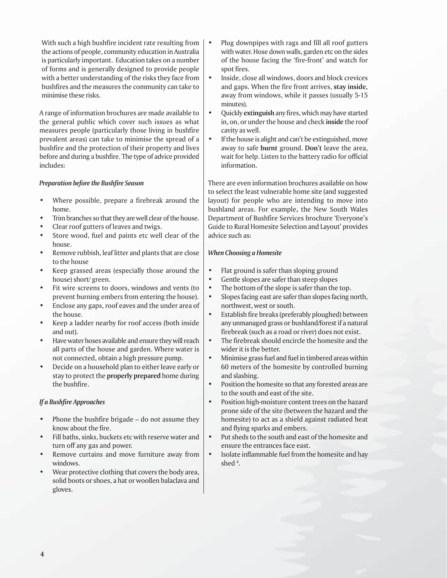With such a high bushfire incident rate resulting from the actions of people, community education in Australia is particularly important. Education takes on a number of forms and is generally designed to provide people with a better understanding of the risks they face from bushfires and the measures the community can take to minimise these risks.

A range of information brochures are made available to the general public which cover such issues as what measures people (particularly those living in bushfire prevalent areas) can take to minimise the spread of a bushfire and the protection of their property and lives before and during a bushfire. The type of advice provided includes:

## *Preparation before the Bushfire Season*

- Where possible, prepare a firebreak around the home.
- Trim branches so that they are well clear of the house.
- Clear roof gutters of leaves and twigs.
- Store wood, fuel and paints etc well clear of the house.
- Remove rubbish, leaf litter and plants that are close to the house
- Keep grassed areas (especially those around the house) short/ green.
- Fit wire screens to doors, windows and vents (to prevent burning embers from entering the house).
- Enclose any gaps, roof eaves and the under area of the house.
- Keep a ladder nearby for roof access (both inside and out).
- Have water hoses available and ensure they will reach all parts of the house and garden. Where water is not connected, obtain a high pressure pump.
- Decide on a household plan to either leave early or stay to protect the **properly prepared** home during the bushfire.

# *If a Bushfire Approaches*

- Phone the bushfire brigade do not assume they know about the fire.
- Fill baths, sinks, buckets etc with reserve water and turn off any gas and power.
- Remove curtains and move furniture away from windows.
- Wear protective clothing that covers the body area, solid boots or shoes, a hat or woollen balaclava and gloves.
- Plug downpipes with rags and fill all roof gutters with water. Hose down walls, garden etc on the sides of the house facing the 'fire-front' and watch for spot fires.
- Inside, close all windows, doors and block crevices and gaps. When the fire front arrives, **stay inside,** away from windows, while it passes (usually 5-15 minutes).
- Quickly **extinguish** any fires, which may have started in, on, or under the house and check **inside** the roof cavity as well.
- If the house is alight and can't be extinguished, move away to safe **burnt** ground. **Don't** leave the area, wait for help. Listen to the battery radio for official information.

There are even information brochures available on how to select the least vulnerable home site (and suggested layout) for people who are intending to move into bushland areas. For example**,** the New South Wales Department of Bushfire Services brochure 'Everyone's Guide to Rural Homesite Selection and Layout' provides advice such as:

# *When Choosing a Homesite*

- Flat ground is safer than sloping ground
- Gentle slopes are safer than steep slopes
- The bottom of the slope is safer than the top.
- Slopes facing east are safer than slopes facing north, northwest, west or south.
- Establish fire breaks (preferably ploughed) between any unmanaged grass or bushland/forest if a natural firebreak (such as a road or river) does not exist.
- The firebreak should encircle the homesite and the wider it is the better.
- Minimise grass fuel and fuel in timbered areas within 60 meters of the homesite by controlled burning and slashing.
- Position the homesite so that any forested areas are to the south and east of the site.
- Position high-moisture content trees on the hazard prone side of the site (between the hazard and the homesite) to act as a shield against radiated heat and flying sparks and embers.
- Put sheds to the south and east of the homesite and ensure the entrances face east.
- Isolate inflammable fuel from the homesite and hay shed 4 .